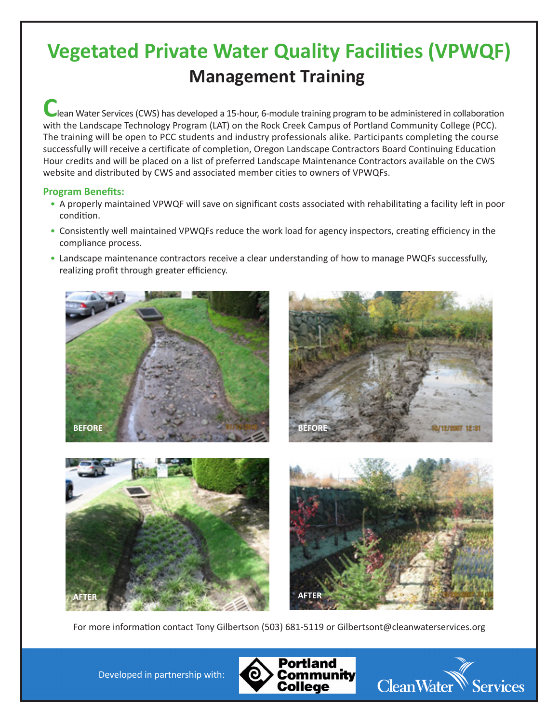# **Vegetated Private Water Quality Facilities (VPWQF) Management Training**

**C**lean Water Services (CWS) has developed a 15-hour, 6-module training program to be administered in collaboration with the Landscape Technology Program (LAT) on the Rock Creek Campus of Portland Community College (PCC). The training will be open to PCC students and industry professionals alike. Participants completing the course successfully will receive a certificate of completion, Oregon Landscape Contractors Board Continuing Education Hour credits and will be placed on a list of preferred Landscape Maintenance Contractors available on the CWS website and distributed by CWS and associated member cities to owners of VPWQFs.

## **Program Benefits:**

- A properly maintained VPWQF will save on significant costs associated with rehabilitating a facility left in poor condition.
- Consistently well maintained VPWQFs reduce the work load for agency inspectors, creating efficiency in the compliance process.
- Landscape maintenance contractors receive a clear understanding of how to manage PWQFs successfully, realizing profit through greater efficiency.



For more information contact Tony Gilbertson (503) 681-5119 or Gilbertsont@cleanwaterservices.org

Developed in partnership with: